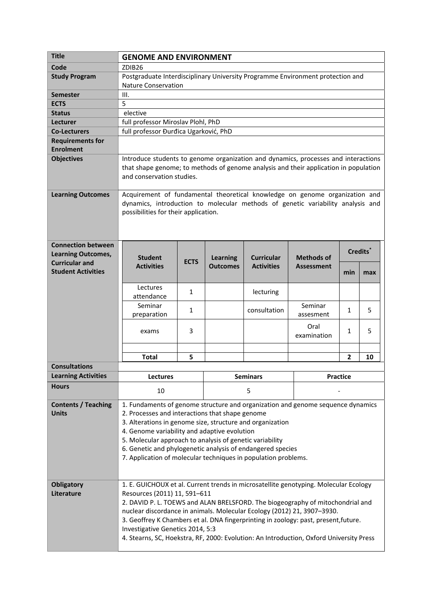| <b>Title</b>                                           | <b>GENOME AND ENVIRONMENT</b>                                                                                                                                                                                                                                                                                                                                                                                                                                                                           |             |                 |                   |                      |                |     |  |
|--------------------------------------------------------|---------------------------------------------------------------------------------------------------------------------------------------------------------------------------------------------------------------------------------------------------------------------------------------------------------------------------------------------------------------------------------------------------------------------------------------------------------------------------------------------------------|-------------|-----------------|-------------------|----------------------|----------------|-----|--|
| Code                                                   | ZDIB <sub>26</sub>                                                                                                                                                                                                                                                                                                                                                                                                                                                                                      |             |                 |                   |                      |                |     |  |
| <b>Study Program</b>                                   | Postgraduate Interdisciplinary University Programme Environment protection and                                                                                                                                                                                                                                                                                                                                                                                                                          |             |                 |                   |                      |                |     |  |
|                                                        | <b>Nature Conservation</b>                                                                                                                                                                                                                                                                                                                                                                                                                                                                              |             |                 |                   |                      |                |     |  |
| <b>Semester</b>                                        | III.                                                                                                                                                                                                                                                                                                                                                                                                                                                                                                    |             |                 |                   |                      |                |     |  |
| <b>ECTS</b>                                            | 5                                                                                                                                                                                                                                                                                                                                                                                                                                                                                                       |             |                 |                   |                      |                |     |  |
| <b>Status</b>                                          | elective                                                                                                                                                                                                                                                                                                                                                                                                                                                                                                |             |                 |                   |                      |                |     |  |
| Lecturer                                               | full professor Miroslav Plohl, PhD                                                                                                                                                                                                                                                                                                                                                                                                                                                                      |             |                 |                   |                      |                |     |  |
| <b>Co-Lecturers</b>                                    | full professor Đurđica Ugarković, PhD                                                                                                                                                                                                                                                                                                                                                                                                                                                                   |             |                 |                   |                      |                |     |  |
| <b>Requirements for</b>                                |                                                                                                                                                                                                                                                                                                                                                                                                                                                                                                         |             |                 |                   |                      |                |     |  |
| <b>Enrolment</b>                                       |                                                                                                                                                                                                                                                                                                                                                                                                                                                                                                         |             |                 |                   |                      |                |     |  |
| <b>Objectives</b>                                      | Introduce students to genome organization and dynamics, processes and interactions<br>that shape genome; to methods of genome analysis and their application in population<br>and conservation studies.                                                                                                                                                                                                                                                                                                 |             |                 |                   |                      |                |     |  |
| <b>Learning Outcomes</b>                               | Acquirement of fundamental theoretical knowledge on genome organization and<br>dynamics, introduction to molecular methods of genetic variability analysis and<br>possibilities for their application.                                                                                                                                                                                                                                                                                                  |             |                 |                   |                      |                |     |  |
| <b>Connection between</b><br><b>Learning Outcomes,</b> | <b>Student</b>                                                                                                                                                                                                                                                                                                                                                                                                                                                                                          | <b>ECTS</b> | <b>Learning</b> | <b>Curricular</b> | <b>Methods of</b>    | Credits*       |     |  |
| <b>Curricular and</b><br><b>Student Activities</b>     | <b>Activities</b>                                                                                                                                                                                                                                                                                                                                                                                                                                                                                       |             | <b>Outcomes</b> | <b>Activities</b> | <b>Assessment</b>    | min            | max |  |
|                                                        | Lectures<br>attendance                                                                                                                                                                                                                                                                                                                                                                                                                                                                                  | 1           |                 | lecturing         |                      |                |     |  |
|                                                        | Seminar<br>preparation                                                                                                                                                                                                                                                                                                                                                                                                                                                                                  | 1           |                 | consultation      | Seminar<br>assesment | 1              | 5   |  |
|                                                        | exams                                                                                                                                                                                                                                                                                                                                                                                                                                                                                                   | 3           |                 |                   | Oral<br>examination  | $\mathbf{1}$   | 5   |  |
|                                                        |                                                                                                                                                                                                                                                                                                                                                                                                                                                                                                         |             |                 |                   |                      |                |     |  |
|                                                        | <b>Total</b>                                                                                                                                                                                                                                                                                                                                                                                                                                                                                            | 5           |                 |                   |                      | $\overline{2}$ | 10  |  |
| <b>Consultations</b>                                   |                                                                                                                                                                                                                                                                                                                                                                                                                                                                                                         |             |                 |                   |                      |                |     |  |
| <b>Learning Activities</b>                             | <b>Lectures</b>                                                                                                                                                                                                                                                                                                                                                                                                                                                                                         |             | <b>Seminars</b> |                   | <b>Practice</b>      |                |     |  |
| <b>Hours</b>                                           | 10                                                                                                                                                                                                                                                                                                                                                                                                                                                                                                      |             | 5               |                   |                      |                |     |  |
| <b>Contents / Teaching</b><br><b>Units</b>             | 1. Fundaments of genome structure and organization and genome sequence dynamics<br>2. Processes and interactions that shape genome<br>3. Alterations in genome size, structure and organization<br>4. Genome variability and adaptive evolution<br>5. Molecular approach to analysis of genetic variability<br>6. Genetic and phylogenetic analysis of endangered species<br>7. Application of molecular techniques in population problems.                                                             |             |                 |                   |                      |                |     |  |
| <b>Obligatory</b><br>Literature                        | 1. E. GUICHOUX et al. Current trends in microsatellite genotyping. Molecular Ecology<br>Resources (2011) 11, 591-611<br>2. DAVID P. L. TOEWS and ALAN BRELSFORD. The biogeography of mitochondrial and<br>nuclear discordance in animals. Molecular Ecology (2012) 21, 3907-3930.<br>3. Geoffrey K Chambers et al. DNA fingerprinting in zoology: past, present, future.<br>Investigative Genetics 2014, 5:3<br>4. Stearns, SC, Hoekstra, RF, 2000: Evolution: An Introduction, Oxford University Press |             |                 |                   |                      |                |     |  |